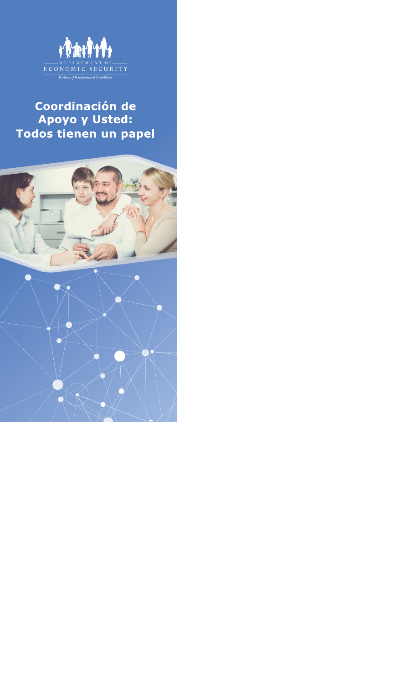

## Coordinación de Apoyo y Usted: Todos tienen un papel

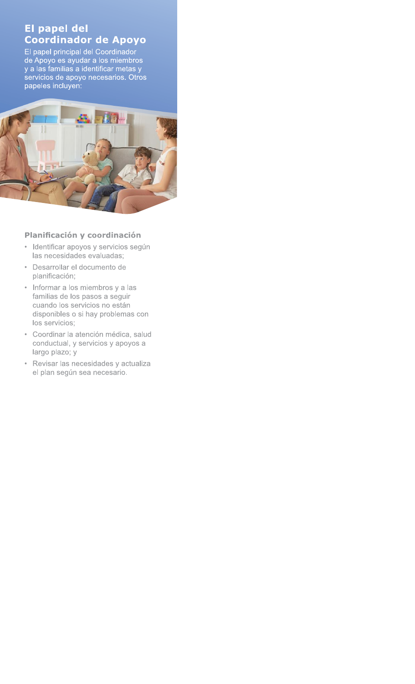### El papel del **Coordinador de Apoyo**

El papel principal del Coordinador La paper principal del Coordinador<br>de Apoyo es ayudar a los miembros<br>y a las familias a identificar metas y<br>servicios de apoyo necesarios. Otros<br>papeles incluyen:



#### Planificación y coordinación

- · Identificar apoyos y servicios según las necesidades evaluadas;
- · Desarrollar el documento de planificación;
- Informar a los miembros y a las familias de los pasos a seguir cuando los servicios no están disponibles o si hay problemas con los servicios;
- · Coordinar la atención médica, salud conductual, y servicios y apoyos a largo plazo; y
- · Revisar las necesidades y actualiza el plan según sea necesario.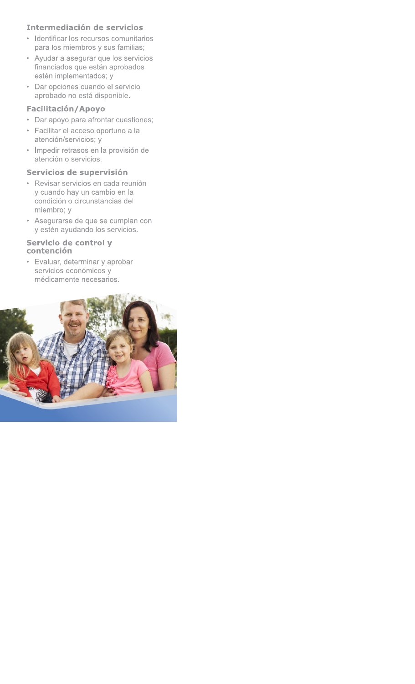#### Intermediación de servicios

- · Identificar los recursos comunitarios para los miembros y sus familias;
- Ayudar a asegurar que los servicios financiados que están aprobados estén implementados; y
- Dar opciones cuando el servicio aprobado no está disponible.

#### Facilitación/Apoyo

- Dar apoyo para afrontar cuestiones;
- · Facilitar el acceso oportuno a la atención/servicios; y
- · Impedir retrasos en la provisión de atención o servicios.

#### Servicios de supervisión

- · Revisar servicios en cada reunión y cuando hay un cambio en la condición o circunstancias del miembro; y
- Asegurarse de que se cumplan con y estén ayudando los servicios.

#### Servicio de control y contención

• Evaluar, determinar y aprobar servicios económicos y médicamente necesarios.

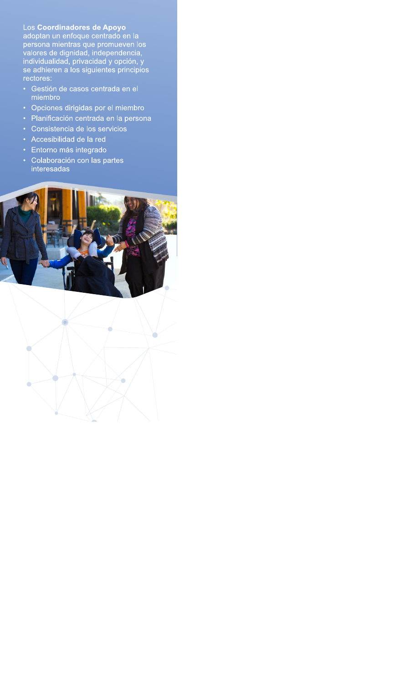Los Coordinadores de Apoyo<br>adoptan un enfoque centrado en la<br>persona mientras que promueven los<br>valores de dignidad, independencia,<br>individualidad, privacidad y opción, y se adhieren a los siguientes principios rectores:

- · Gestión de casos centrada en el miembro
- Opciones dirigidas por el miembro
- · Planificación centrada en la persona
- Consistencia de los servicios
- Accesibilidad de la red
- · Entorno más integrado

Ò

 $\bigcirc$ 

· Colaboración con las partes interesadas



 $\bullet$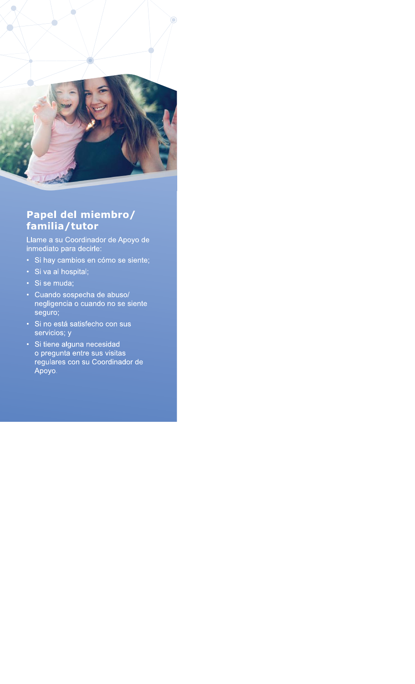

## Papel del miembro/ familia/tutor

Llame a su Coordinador de Apoyo de<br>inmediato para decirle:

- · Si hay cambios en cómo se siente;
- · Si va al hospital;
- · Si se muda;
- Cuando sospecha de abuso/ negligencia o cuando no se siente seguro;
- · Si no está satisfecho con sus servicios; y
- · Si tiene alguna necesidad o pregunta entre sus visitas regulares con su Coordinador de Apoyo.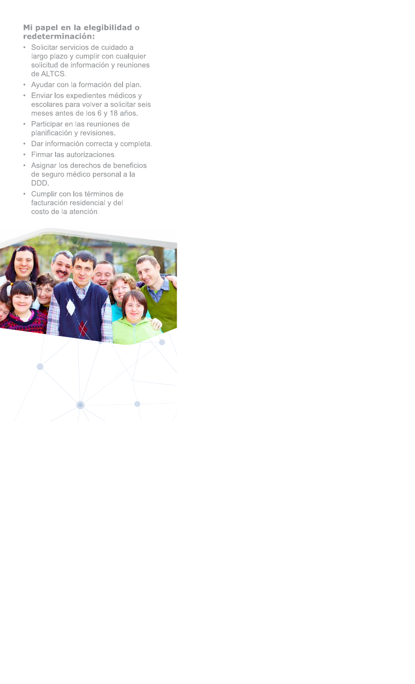#### Mi papel en la elegibilidad o redeterminación:

- · Solicitar servicios de cuidado a largo plazo y cumplir con cualquier solicitud de información y reuniones de ALTCS.
- · Ayudar con la formación del plan.
- · Enviar los expedientes médicos y escolares para volver a solicitar seis meses antes de los 6 y 18 años.
- Participar en las reuniones de planificación y revisiones.
- · Dar información correcta y completa.
- Firmar las autorizaciones.
- Asignar los derechos de beneficios de seguro médico personal a la DDD.
- · Cumplir con los términos de facturación residencial y del costo de la atención.



 $\bigcirc$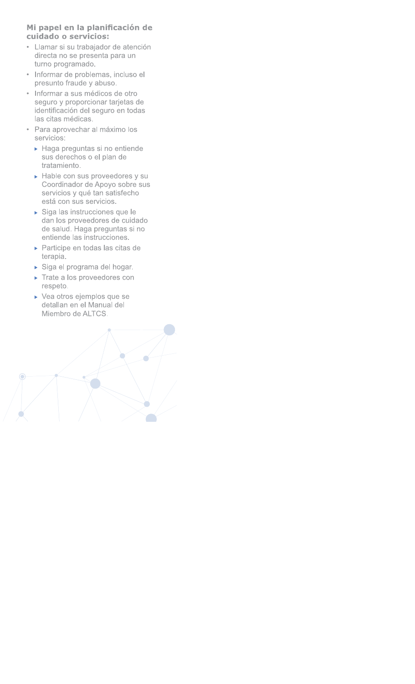# Mi papel en la planificación de

- 
- 
- **Mi papel en la planificación de<br>
cuidado o servicios:**<br>
 Llamar si su trabajador de atención<br>
directa no se presenta para un<br>
turno programdo.<br>
 Informar de problemas, incluso el<br>
 Persunto fraude y abuso.<br>
 Informar Fresunto fraude y abuso.<br>
• Informar a sus médicos de otro<br>
seguro y proporcionar tarjetas de<br>
identificación del seguro en todas<br>
las citas médicas.<br>
• Para aprovechar al máximo los<br>
servicios:<br>
• Haga preguntas si no ent
	- -
	- Hable con sus proveedores y su<br>Coordinador de Apoyo sobre sus • Para aprovechar al máximo los<br>
	servicios:<br>
	• Haga preguntas si no entiende<br>
	sus derechos o el plan de<br>
	tratamiento.<br>
	• Hable con sus proveedores y su<br>
	Coordinador de Apoyo sobre sus<br>
	servicios y qué tan satisfecho<br>
	está A Haga preguntas si no entiende<br>
	sus derechos o el plan de<br>
	tratamiento.<br>
	A Hable con sus proveedores y su<br>
	Coordinador de Apoyo sobre sus<br>
	servicios y qué tan satisfecho<br>
	está con sus servicios.<br>
	A Siga las instrucciones
		-
		- $\blacktriangleright$  Participe en todas las citas de terapia.
		- $\triangleright$  Siga el programa del hogar.
		- $\blacktriangleright$  Trate a los proveedores con respeto.
		- $\blacktriangleright$  Vea otros ejemplos que se detallan en el Manual del Miembro de ALTCS.